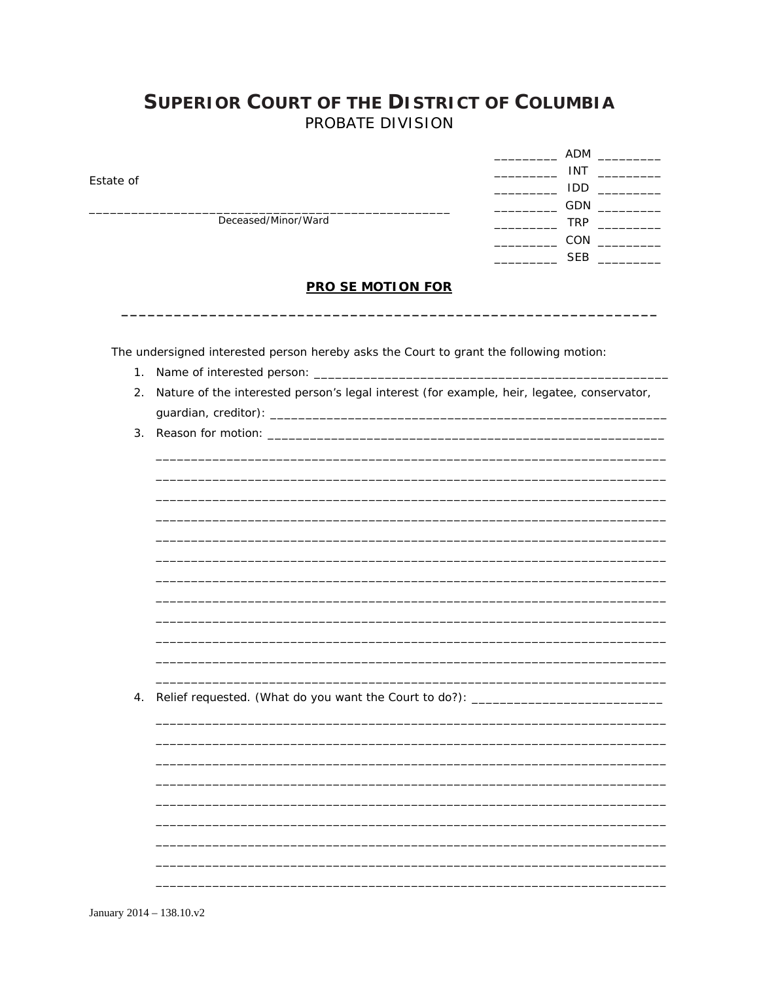## **SUPERIOR COURT OF THE DISTRICT OF COLUMBIA** PROBATE DIVISION

|                     | ADM        |
|---------------------|------------|
|                     | <b>INT</b> |
| Estate of           | <b>IDD</b> |
|                     | GDN        |
| Deceased/Minor/Ward | <b>TRP</b> |
|                     | CON        |
|                     | <b>SEB</b> |

## **PRO SE MOTION FOR**

The undersigned interested person hereby asks the Court to grant the following motion:

- 1. Name of interested person: \_\_\_\_\_\_\_\_\_\_
- 2. Nature of the interested person's legal interest (for example, heir, legatee, conservator,
- 

4. Relief requested. (What do you want the Court to do?): \_\_\_\_\_\_\_\_\_\_\_\_\_\_\_\_\_\_\_\_\_\_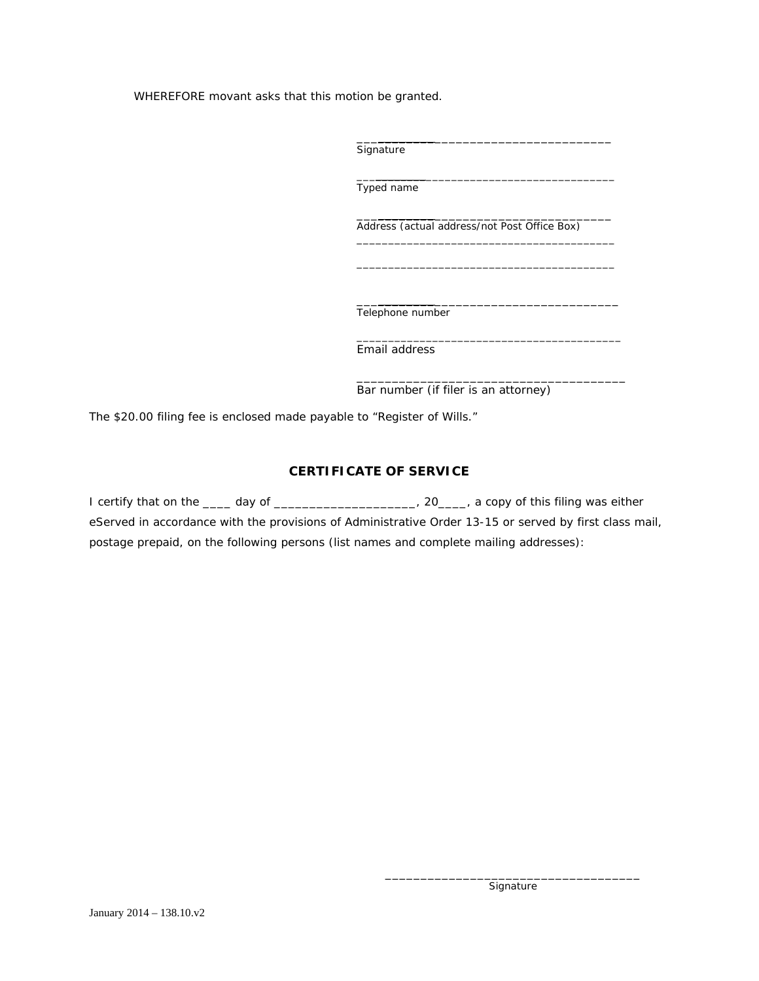WHEREFORE movant asks that this motion be granted.

\_\_\_\_\_\_\_\_\_\_\_\_\_\_\_\_\_\_\_\_\_\_\_\_\_\_\_\_\_\_\_\_\_\_\_\_ **Signature** 

\_\_\_\_\_\_\_\_\_\_\_\_\_\_\_\_\_\_\_\_\_\_\_\_\_\_\_\_\_\_\_\_\_\_\_\_\_\_\_\_\_ Typed name

\_\_\_\_\_\_\_\_\_\_\_\_\_\_\_\_\_\_\_\_\_\_\_\_\_\_\_\_\_\_\_\_\_\_\_\_ Address (actual address/not Post Office Box)

\_\_\_\_\_\_\_\_\_\_\_\_\_\_\_\_\_\_\_\_\_\_\_\_\_\_\_\_\_\_\_\_\_\_\_\_\_\_\_\_\_ \_\_\_\_\_\_\_\_\_\_\_\_\_\_\_\_\_\_\_\_\_\_\_\_\_\_\_\_\_\_\_\_\_\_\_\_\_\_\_\_\_

\_\_\_\_\_\_\_\_\_\_\_\_\_\_\_\_\_\_\_\_\_\_\_\_\_\_\_\_\_\_\_\_\_\_\_\_\_ Telephone number

\_\_\_\_\_\_\_\_\_\_\_\_\_\_\_\_\_\_\_\_\_\_\_\_\_\_\_\_\_\_\_\_\_\_\_\_\_\_\_\_\_\_ Email address

\_\_\_\_\_\_\_\_\_\_\_\_\_\_\_\_\_\_\_\_\_\_\_\_\_\_\_\_\_\_\_\_\_\_\_\_\_\_ Bar number (if filer is an attorney)

The \$20.00 filing fee is enclosed made payable to "Register of Wills."

## **CERTIFICATE OF SERVICE**

| I certify that on the _____ day of ___________________                                 | $\mu$ , 20 $\mu$ , a copy of this filing was either                                                    |
|----------------------------------------------------------------------------------------|--------------------------------------------------------------------------------------------------------|
|                                                                                        | eServed in accordance with the provisions of Administrative Order 13-15 or served by first class mail, |
| postage prepaid, on the following persons (list names and complete mailing addresses): |                                                                                                        |